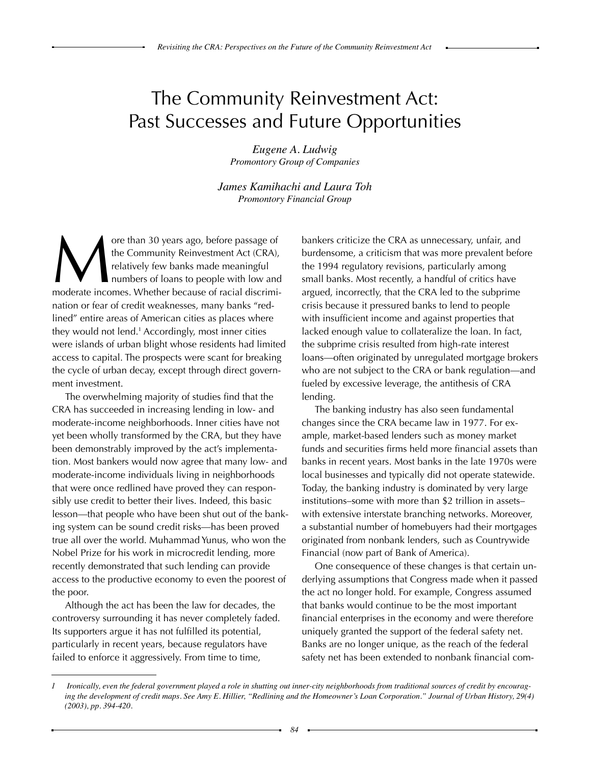# The Community Reinvestment Act: Past Successes and Future Opportunities

*Eugene A. Ludwig Promontory Group of Companies*

*James Kamihachi and Laura Toh Promontory Financial Group*

ore than 30 years ago, before passage of<br>the Community Reinvestment Act (CRA),<br>relatively few banks made meaningful<br>moderate incomes. Whether because of racial discrimithe Community Reinvestment Act (CRA), relatively few banks made meaningful numbers of loans to people with low and nation or fear of credit weaknesses, many banks "redlined" entire areas of American cities as places where they would not lend.<sup>1</sup> Accordingly, most inner cities were islands of urban blight whose residents had limited access to capital. The prospects were scant for breaking the cycle of urban decay, except through direct government investment.

The overwhelming majority of studies find that the CRA has succeeded in increasing lending in low- and moderate-income neighborhoods. Inner cities have not yet been wholly transformed by the CRA, but they have been demonstrably improved by the act's implementation. Most bankers would now agree that many low- and moderate-income individuals living in neighborhoods that were once redlined have proved they can responsibly use credit to better their lives. Indeed, this basic lesson—that people who have been shut out of the banking system can be sound credit risks—has been proved true all over the world. Muhammad Yunus, who won the Nobel Prize for his work in microcredit lending, more recently demonstrated that such lending can provide access to the productive economy to even the poorest of the poor.

Although the act has been the law for decades, the controversy surrounding it has never completely faded. Its supporters argue it has not fulfilled its potential, particularly in recent years, because regulators have failed to enforce it aggressively. From time to time,

bankers criticize the CRA as unnecessary, unfair, and burdensome, a criticism that was more prevalent before the 1994 regulatory revisions, particularly among small banks. Most recently, a handful of critics have argued, incorrectly, that the CRA led to the subprime crisis because it pressured banks to lend to people with insufficient income and against properties that lacked enough value to collateralize the loan. In fact, the subprime crisis resulted from high-rate interest loans—often originated by unregulated mortgage brokers who are not subject to the CRA or bank regulation—and fueled by excessive leverage, the antithesis of CRA lending.

The banking industry has also seen fundamental changes since the CRA became law in 1977. For example, market-based lenders such as money market funds and securities firms held more financial assets than banks in recent years. Most banks in the late 1970s were local businesses and typically did not operate statewide. Today, the banking industry is dominated by very large institutions–some with more than \$2 trillion in assets– with extensive interstate branching networks. Moreover, a substantial number of homebuyers had their mortgages originated from nonbank lenders, such as Countrywide Financial (now part of Bank of America).

One consequence of these changes is that certain underlying assumptions that Congress made when it passed the act no longer hold. For example, Congress assumed that banks would continue to be the most important financial enterprises in the economy and were therefore uniquely granted the support of the federal safety net. Banks are no longer unique, as the reach of the federal safety net has been extended to nonbank financial com-

Ironically, even the federal government played a role in shutting out inner-city neighborhoods from traditional sources of credit by encourag*ing the development of credit maps. See Amy E. Hillier, "Redlining and the Homeowner's Loan Corporation." Journal of Urban History, 29(4) (2003), pp. 394-420.*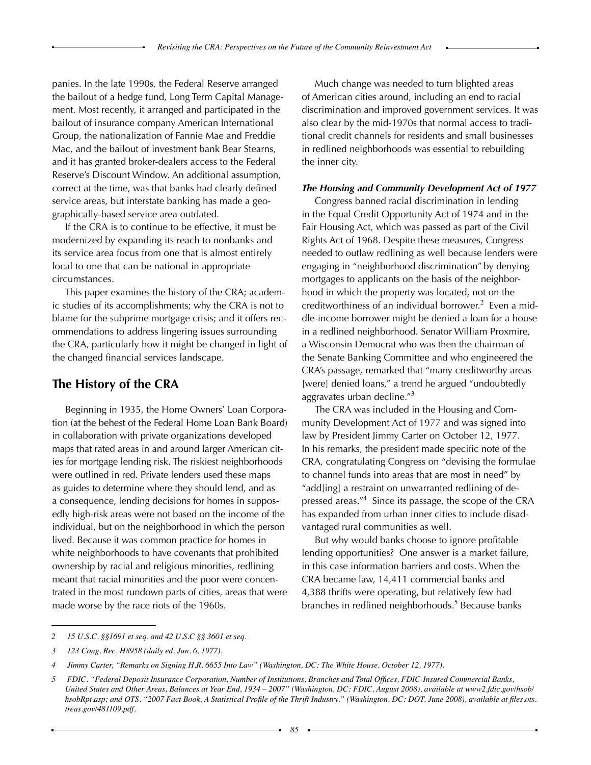panies. In the late 1990s, the Federal Reserve arranged the bailout of a hedge fund, Long Term Capital Management. Most recently, it arranged and participated in the bailout of insurance company American International Group, the nationalization of Fannie Mae and Freddie Mac, and the bailout of investment bank Bear Stearns, and it has granted broker-dealers access to the Federal Reserve's Discount Window. An additional assumption, correct at the time, was that banks had clearly defined service areas, but interstate banking has made a geographically-based service area outdated.

If the CRA is to continue to be effective, it must be modernized by expanding its reach to nonbanks and its service area focus from one that is almost entirely local to one that can be national in appropriate circumstances.

This paper examines the history of the CRA; academic studies of its accomplishments; why the CRA is not to blame for the subprime mortgage crisis; and it offers recommendations to address lingering issues surrounding the CRA, particularly how it might be changed in light of the changed financial services landscape.

### **The History of the CRA**

Beginning in 1935, the Home Owners' Loan Corporation (at the behest of the Federal Home Loan Bank Board) in collaboration with private organizations developed maps that rated areas in and around larger American cities for mortgage lending risk. The riskiest neighborhoods were outlined in red. Private lenders used these maps as guides to determine where they should lend, and as a consequence, lending decisions for homes in supposedly high-risk areas were not based on the income of the individual, but on the neighborhood in which the person lived. Because it was common practice for homes in white neighborhoods to have covenants that prohibited ownership by racial and religious minorities, redlining meant that racial minorities and the poor were concentrated in the most rundown parts of cities, areas that were made worse by the race riots of the 1960s.

Much change was needed to turn blighted areas of American cities around, including an end to racial discrimination and improved government services. It was also clear by the mid-1970s that normal access to traditional credit channels for residents and small businesses in redlined neighborhoods was essential to rebuilding the inner city.

#### *The Housing and Community Development Act of 1977*

Congress banned racial discrimination in lending in the Equal Credit Opportunity Act of 1974 and in the Fair Housing Act, which was passed as part of the Civil Rights Act of 1968. Despite these measures, Congress needed to outlaw redlining as well because lenders were engaging in "neighborhood discrimination" by denying mortgages to applicants on the basis of the neighborhood in which the property was located, not on the creditworthiness of an individual borrower. $2$  Even a middle-income borrower might be denied a loan for a house in a redlined neighborhood. Senator William Proxmire, a Wisconsin Democrat who was then the chairman of the Senate Banking Committee and who engineered the CRA's passage, remarked that "many creditworthy areas [were] denied loans," a trend he argued "undoubtedly aggravates urban decline."<sup>3</sup>

The CRA was included in the Housing and Community Development Act of 1977 and was signed into law by President Jimmy Carter on October 12, 1977. In his remarks, the president made specific note of the CRA, congratulating Congress on "devising the formulae to channel funds into areas that are most in need" by "add[ing] a restraint on unwarranted redlining of depressed areas."<sup>4</sup> Since its passage, the scope of the CRA has expanded from urban inner cities to include disadvantaged rural communities as well.

But why would banks choose to ignore profitable lending opportunities? One answer is a market failure, in this case information barriers and costs. When the CRA became law, 14,411 commercial banks and 4,388 thrifts were operating, but relatively few had branches in redlined neighborhoods.<sup>5</sup> Because banks

*<sup>2 15</sup> U.S.C. §§1691 et seq. and 42 U.S.C §§ 3601 et seq.*

*<sup>3 123</sup> Cong. Rec. H8958 (daily ed. Jun. 6, 1977).*

<sup>4</sup> Jimmy Carter, "Remarks on Signing H.R. 6655 Into Law" (Washington, DC: The White House, October 12, 1977).

<sup>5</sup> FDIC. "Federal Deposit Insurance Corporation, Number of Institutions, Branches and Total Offices, FDIC-Insured Commercial Banks, United States and Other Areas, Balances at Year End, 1934 - 2007" (Washington, DC: FDIC, August 2008), available at www2.fdic.gov/hsob/ hsobRpt.asp; and OTS. "2007 Fact Book, A Statistical Profile of the Thrift Industry." (Washington, DC: DOT, June 2008), available at files.ots. *treas.gov/481109.pdf.*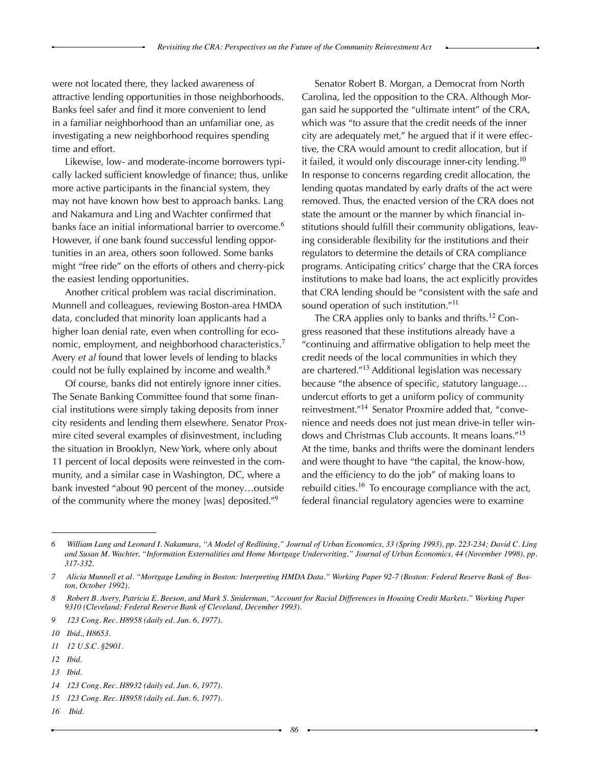were not located there, they lacked awareness of attractive lending opportunities in those neighborhoods. Banks feel safer and find it more convenient to lend in a familiar neighborhood than an unfamiliar one, as investigating a new neighborhood requires spending time and effort.

Likewise, low- and moderate-income borrowers typically lacked sufficient knowledge of finance; thus, unlike more active participants in the financial system, they may not have known how best to approach banks. Lang and Nakamura and Ling and Wachter confirmed that banks face an initial informational barrier to overcome.<sup>6</sup> However, if one bank found successful lending opportunities in an area, others soon followed. Some banks might "free ride" on the efforts of others and cherry-pick the easiest lending opportunities.

Another critical problem was racial discrimination. Munnell and colleagues, reviewing Boston-area HMDA data, concluded that minority loan applicants had a higher loan denial rate, even when controlling for economic, employment, and neighborhood characteristics.<sup>7</sup> Avery *et al* found that lower levels of lending to blacks could not be fully explained by income and wealth.<sup>8</sup>

Of course, banks did not entirely ignore inner cities. The Senate Banking Committee found that some financial institutions were simply taking deposits from inner city residents and lending them elsewhere. Senator Proxmire cited several examples of disinvestment, including the situation in Brooklyn, New York, where only about 11 percent of local deposits were reinvested in the community, and a similar case in Washington, DC, where a bank invested "about 90 percent of the money…outside of the community where the money [was] deposited."<sup>9</sup>

Senator Robert B. Morgan, a Democrat from North Carolina, led the opposition to the CRA. Although Morgan said he supported the "ultimate intent" of the CRA, which was "to assure that the credit needs of the inner city are adequately met," he argued that if it were effective, the CRA would amount to credit allocation, but if it failed, it would only discourage inner-city lending.<sup>10</sup> In response to concerns regarding credit allocation, the lending quotas mandated by early drafts of the act were removed. Thus, the enacted version of the CRA does not state the amount or the manner by which financial institutions should fulfill their community obligations, leaving considerable flexibility for the institutions and their regulators to determine the details of CRA compliance programs. Anticipating critics' charge that the CRA forces institutions to make bad loans, the act explicitly provides that CRA lending should be "consistent with the safe and sound operation of such institution."<sup>11</sup>

The CRA applies only to banks and thrifts.<sup>12</sup> Congress reasoned that these institutions already have a "continuing and affirmative obligation to help meet the credit needs of the local communities in which they are chartered."<sup>13</sup> Additional legislation was necessary because "the absence of specific, statutory language… undercut efforts to get a uniform policy of community reinvestment."<sup>14</sup> Senator Proxmire added that, "convenience and needs does not just mean drive-in teller windows and Christmas Club accounts. It means loans."<sup>15</sup> At the time, banks and thrifts were the dominant lenders and were thought to have "the capital, the know-how, and the efficiency to do the job" of making loans to rebuild cities.<sup>16</sup> To encourage compliance with the act, federal financial regulatory agencies were to examine

*13 Ibid.*

*16 Ibid.*

<sup>6</sup> William Lang and Leonard I. Nakamura, "A Model of Redlining," Journal of Urban Economics, 33 (Spring 1993), pp. 223-234; David C. Ling and Susan M. Wachter, "Information Externalities and Home Mortgage Underwriting," Journal of Urban Economics, 44 (November 1998), pp. *317-332.*

<sup>7</sup> Alicia Munnell et al. "Mortgage Lending in Boston: Interpreting HMDA Data." Working Paper 92-7 (Boston: Federal Reserve Bank of Bos*ton, October 1992).*

*<sup>8</sup> Robert B. Avery, Patricia E. Beeson, and Mark S. Sniderman, "Account for Racial Differences in Housing Credit Markets." Working Paper 9310 (Cleveland: Federal Reserve Bank of Cleveland, December 1993).* 

*<sup>9 123</sup> Cong. Rec. H8958 (daily ed. Jun. 6, 1977).*

*<sup>10</sup>  Ibid., H8653.*

*<sup>11 12</sup> U.S.C. §2901.*

*<sup>12</sup>  Ibid.*

*<sup>14 123</sup> Cong. Rec. H8932 (daily ed. Jun. 6, 1977).*

*<sup>15 123</sup> Cong. Rec. H8958 (daily ed. Jun. 6, 1977).*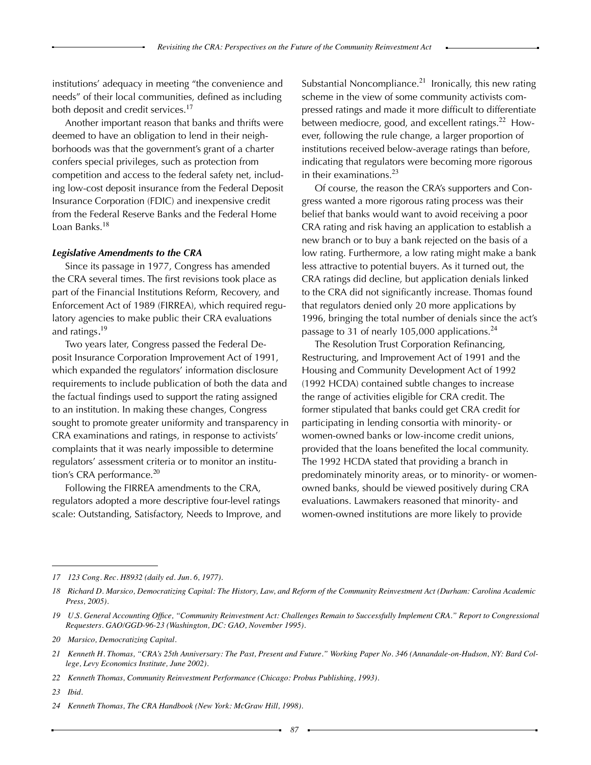institutions' adequacy in meeting "the convenience and needs" of their local communities, defined as including both deposit and credit services.<sup>17</sup>

Another important reason that banks and thrifts were deemed to have an obligation to lend in their neighborhoods was that the government's grant of a charter confers special privileges, such as protection from competition and access to the federal safety net, including low-cost deposit insurance from the Federal Deposit Insurance Corporation (FDIC) and inexpensive credit from the Federal Reserve Banks and the Federal Home Loan Banks.<sup>18</sup>

#### *Legislative Amendments to the CRA*

Since its passage in 1977, Congress has amended the CRA several times. The first revisions took place as part of the Financial Institutions Reform, Recovery, and Enforcement Act of 1989 (FIRREA), which required regulatory agencies to make public their CRA evaluations and ratings. 19

Two years later, Congress passed the Federal Deposit Insurance Corporation Improvement Act of 1991, which expanded the regulators' information disclosure requirements to include publication of both the data and the factual findings used to support the rating assigned to an institution. In making these changes, Congress sought to promote greater uniformity and transparency in CRA examinations and ratings, in response to activists' complaints that it was nearly impossible to determine regulators' assessment criteria or to monitor an institution's CRA performance.<sup>20</sup>

Following the FIRREA amendments to the CRA, regulators adopted a more descriptive four-level ratings scale: Outstanding, Satisfactory, Needs to Improve, and Substantial Noncompliance.<sup>21</sup> Ironically, this new rating scheme in the view of some community activists compressed ratings and made it more difficult to differentiate between mediocre, good, and excellent ratings.<sup>22</sup> However, following the rule change, a larger proportion of institutions received below-average ratings than before, indicating that regulators were becoming more rigorous in their examinations. $^{23}$ 

Of course, the reason the CRA's supporters and Congress wanted a more rigorous rating process was their belief that banks would want to avoid receiving a poor CRA rating and risk having an application to establish a new branch or to buy a bank rejected on the basis of a low rating. Furthermore, a low rating might make a bank less attractive to potential buyers. As it turned out, the CRA ratings did decline, but application denials linked to the CRA did not significantly increase. Thomas found that regulators denied only 20 more applications by 1996, bringing the total number of denials since the act's passage to 31 of nearly 105,000 applications.<sup>24</sup>

The Resolution Trust Corporation Refinancing, Restructuring, and Improvement Act of 1991 and the Housing and Community Development Act of 1992 (1992 HCDA) contained subtle changes to increase the range of activities eligible for CRA credit. The former stipulated that banks could get CRA credit for participating in lending consortia with minority- or women-owned banks or low-income credit unions, provided that the loans benefited the local community. The 1992 HCDA stated that providing a branch in predominately minority areas, or to minority- or womenowned banks, should be viewed positively during CRA evaluations. Lawmakers reasoned that minority- and women-owned institutions are more likely to provide

*<sup>17 123</sup> Cong. Rec. H8932 (daily ed. Jun. 6, 1977).*

*<sup>18</sup> Richard D. Marsico, Democratizing Capital: The History, Law, and Reform of the Community Reinvestment Act (Durham: Carolina Academic Press, 2005).*

<sup>19</sup> U.S. General Accounting Office, "Community Reinvestment Act: Challenges Remain to Successfully Implement CRA." Report to Congressional *Requesters. GAO/GGD-96-23 (Washington, DC: GAO, November 1995).*

*<sup>20</sup> Marsico, Democratizing Capital.*

<sup>21</sup> Kenneth H. Thomas, "CRA's 25th Anniversary: The Past, Present and Future." Working Paper No. 346 (Annandale-on-Hudson, NY: Bard Col*lege, Levy Economics Institute, June 2002).*

*<sup>22</sup> Kenneth Thomas, Community Reinvestment Performance (Chicago: Probus Publishing, 1993).*

*<sup>23</sup>  Ibid.*

*<sup>24</sup> Kenneth Thomas, The CRA Handbook (New York: McGraw Hill, 1998).*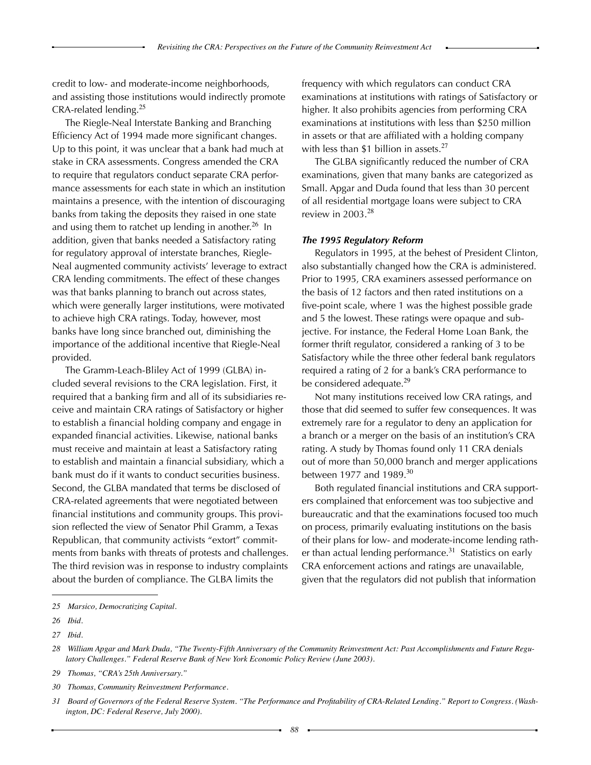credit to low- and moderate-income neighborhoods, and assisting those institutions would indirectly promote CRA-related lending.<sup>25</sup>

The Riegle-Neal Interstate Banking and Branching Efficiency Act of 1994 made more significant changes. Up to this point, it was unclear that a bank had much at stake in CRA assessments. Congress amended the CRA to require that regulators conduct separate CRA performance assessments for each state in which an institution maintains a presence, with the intention of discouraging banks from taking the deposits they raised in one state and using them to ratchet up lending in another.<sup>26</sup> In addition, given that banks needed a Satisfactory rating for regulatory approval of interstate branches, Riegle-Neal augmented community activists' leverage to extract CRA lending commitments. The effect of these changes was that banks planning to branch out across states, which were generally larger institutions, were motivated to achieve high CRA ratings. Today, however, most banks have long since branched out, diminishing the importance of the additional incentive that Riegle-Neal provided.

The Gramm-Leach-Bliley Act of 1999 (GLBA) included several revisions to the CRA legislation. First, it required that a banking firm and all of its subsidiaries receive and maintain CRA ratings of Satisfactory or higher to establish a financial holding company and engage in expanded financial activities. Likewise, national banks must receive and maintain at least a Satisfactory rating to establish and maintain a financial subsidiary, which a bank must do if it wants to conduct securities business. Second, the GLBA mandated that terms be disclosed of CRA-related agreements that were negotiated between financial institutions and community groups. This provision reflected the view of Senator Phil Gramm, a Texas Republican, that community activists "extort" commitments from banks with threats of protests and challenges. The third revision was in response to industry complaints about the burden of compliance. The GLBA limits the

frequency with which regulators can conduct CRA examinations at institutions with ratings of Satisfactory or higher. It also prohibits agencies from performing CRA examinations at institutions with less than \$250 million in assets or that are affiliated with a holding company with less than \$1 billion in assets.<sup>27</sup>

The GLBA significantly reduced the number of CRA examinations, given that many banks are categorized as Small. Apgar and Duda found that less than 30 percent of all residential mortgage loans were subject to CRA review in  $2003.<sup>28</sup>$ 

#### *The 1995 Regulatory Reform*

Regulators in 1995, at the behest of President Clinton, also substantially changed how the CRA is administered. Prior to 1995, CRA examiners assessed performance on the basis of 12 factors and then rated institutions on a five-point scale, where 1 was the highest possible grade and 5 the lowest. These ratings were opaque and subjective. For instance, the Federal Home Loan Bank, the former thrift regulator, considered a ranking of 3 to be Satisfactory while the three other federal bank regulators required a rating of 2 for a bank's CRA performance to be considered adequate.<sup>29</sup>

Not many institutions received low CRA ratings, and those that did seemed to suffer few consequences. It was extremely rare for a regulator to deny an application for a branch or a merger on the basis of an institution's CRA rating. A study by Thomas found only 11 CRA denials out of more than 50,000 branch and merger applications between 1977 and 1989. $30$ 

Both regulated financial institutions and CRA supporters complained that enforcement was too subjective and bureaucratic and that the examinations focused too much on process, primarily evaluating institutions on the basis of their plans for low- and moderate-income lending rather than actual lending performance.<sup>31</sup> Statistics on early CRA enforcement actions and ratings are unavailable, given that the regulators did not publish that information

*<sup>25</sup> Marsico, Democratizing Capital.*

*<sup>26</sup>  Ibid.*

*<sup>27</sup>  Ibid.*

<sup>28</sup> William Apgar and Mark Duda, "The Twenty-Fifth Anniversary of the Community Reinvestment Act: Past Accomplishments and Future Regu*latory Challenges." Federal Reserve Bank of New York Economic Policy Review (June 2003).* 

*<sup>29</sup> Thomas, "CRA's 25th Anniversary."* 

*<sup>30</sup> Thomas, Community Reinvestment Performance.*

<sup>31</sup> Board of Governors of the Federal Reserve System. "The Performance and Profitability of CRA-Related Lending." Report to Congress. (Wash*ington, DC: Federal Reserve, July 2000).*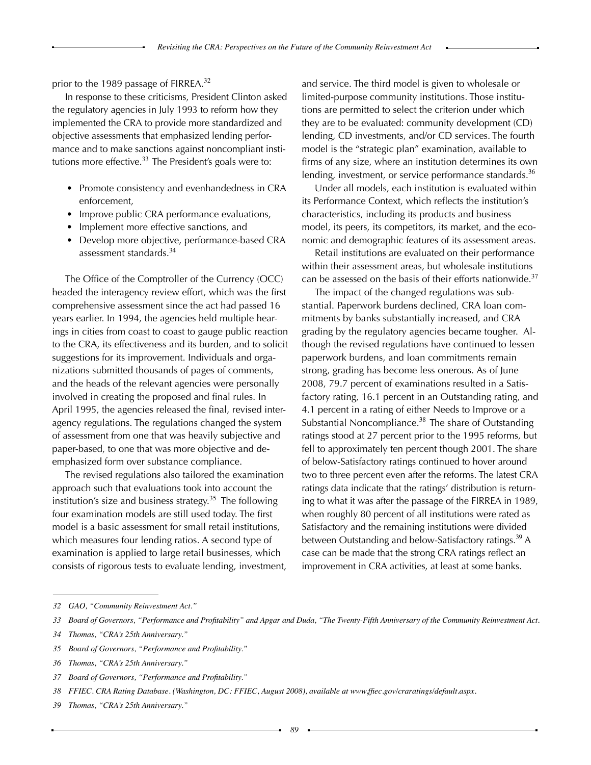prior to the 1989 passage of FIRREA.<sup>32</sup>

In response to these criticisms, President Clinton asked the regulatory agencies in July 1993 to reform how they implemented the CRA to provide more standardized and objective assessments that emphasized lending performance and to make sanctions against noncompliant institutions more effective.  $33$  The President's goals were to:

- Promote consistency and evenhandedness in CRA enforcement,
- Improve public CRA performance evaluations,
- Implement more effective sanctions, and
- Develop more objective, performance-based CRA assessment standards.<sup>34</sup>

The Office of the Comptroller of the Currency (OCC) headed the interagency review effort, which was the first comprehensive assessment since the act had passed 16 years earlier. In 1994, the agencies held multiple hearings in cities from coast to coast to gauge public reaction to the CRA, its effectiveness and its burden, and to solicit suggestions for its improvement. Individuals and organizations submitted thousands of pages of comments, and the heads of the relevant agencies were personally involved in creating the proposed and final rules. In April 1995, the agencies released the final, revised interagency regulations. The regulations changed the system of assessment from one that was heavily subjective and paper-based, to one that was more objective and deemphasized form over substance compliance.

The revised regulations also tailored the examination approach such that evaluations took into account the institution's size and business strategy.<sup>35</sup> The following four examination models are still used today. The first model is a basic assessment for small retail institutions, which measures four lending ratios. A second type of examination is applied to large retail businesses, which consists of rigorous tests to evaluate lending, investment, and service. The third model is given to wholesale or limited-purpose community institutions. Those institutions are permitted to select the criterion under which they are to be evaluated: community development (CD) lending, CD investments, and/or CD services. The fourth model is the "strategic plan" examination, available to firms of any size, where an institution determines its own lending, investment, or service performance standards.<sup>36</sup>

Under all models, each institution is evaluated within its Performance Context, which reflects the institution's characteristics, including its products and business model, its peers, its competitors, its market, and the economic and demographic features of its assessment areas.

Retail institutions are evaluated on their performance within their assessment areas, but wholesale institutions can be assessed on the basis of their efforts nationwide.<sup>37</sup>

The impact of the changed regulations was substantial. Paperwork burdens declined, CRA loan commitments by banks substantially increased, and CRA grading by the regulatory agencies became tougher. Although the revised regulations have continued to lessen paperwork burdens, and loan commitments remain strong, grading has become less onerous. As of June 2008, 79.7 percent of examinations resulted in a Satisfactory rating, 16.1 percent in an Outstanding rating, and 4.1 percent in a rating of either Needs to Improve or a Substantial Noncompliance.<sup>38</sup> The share of Outstanding ratings stood at 27 percent prior to the 1995 reforms, but fell to approximately ten percent though 2001. The share of below-Satisfactory ratings continued to hover around two to three percent even after the reforms. The latest CRA ratings data indicate that the ratings' distribution is returning to what it was after the passage of the FIRREA in 1989, when roughly 80 percent of all institutions were rated as Satisfactory and the remaining institutions were divided between Outstanding and below-Satisfactory ratings.<sup>39</sup> A case can be made that the strong CRA ratings reflect an improvement in CRA activities, at least at some banks.

*<sup>32</sup> GAO, "Community Reinvestment Act."*

<sup>33</sup> Board of Governors, "Performance and Profitability" and Apgar and Duda, "The Twenty-Fifth Anniversary of the Community Reinvestment Act.

*<sup>34</sup> Thomas, "CRA's 25th Anniversary."*

*<sup>35</sup>  Board of Governors, "Performance and Profitability."*

*<sup>36</sup> Thomas, "CRA's 25th Anniversary."*

*<sup>37</sup>  Board of Governors, "Performance and Profitability."*

*<sup>38</sup>  FFIEC. CRA Rating Database. (Washington, DC: FFIEC, August 2008), available at www.ffiec.gov/craratings/default.aspx.*

*<sup>39</sup> Thomas, "CRA's 25th Anniversary."*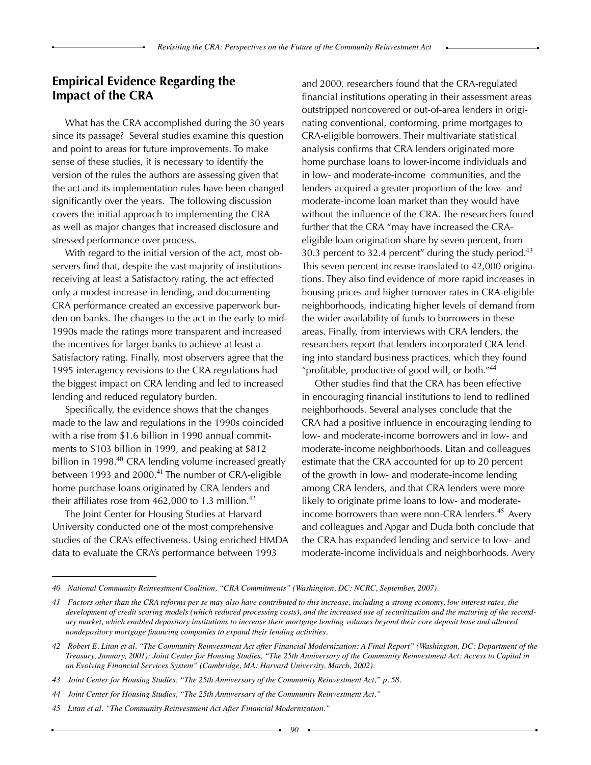# **Empirical Evidence Regarding the Impact of the CRA**

What has the CRA accomplished during the 30 years since its passage? Several studies examine this question and point to areas for future improvements. To make sense of these studies, it is necessary to identify the version of the rules the authors are assessing given that the act and its implementation rules have been changed significantly over the years. The following discussion covers the initial approach to implementing the CRA as well as major changes that increased disclosure and stressed performance over process.

With regard to the initial version of the act, most observers find that, despite the vast majority of institutions receiving at least a Satisfactory rating, the act effected only a modest increase in lending, and documenting CRA performance created an excessive paperwork burden on banks. The changes to the act in the early to mid-1990s made the ratings more transparent and increased the incentives for larger banks to achieve at least a Satisfactory rating. Finally, most observers agree that the 1995 interagency revisions to the CRA regulations had the biggest impact on CRA lending and led to increased lending and reduced regulatory burden.

Specifically, the evidence shows that the changes made to the law and regulations in the 1990s coincided with a rise from \$1.6 billion in 1990 annual commitments to \$103 billion in 1999, and peaking at \$812 billion in 1998.<sup>40</sup> CRA lending volume increased greatly between 1993 and 2000.<sup>41</sup> The number of CRA-eligible home purchase loans originated by CRA lenders and their affiliates rose from  $462,000$  to 1.3 million.<sup>42</sup>

The Joint Center for Housing Studies at Harvard University conducted one of the most comprehensive studies of the CRA's effectiveness. Using enriched HMDA data to evaluate the CRA's performance between 1993

and 2000, researchers found that the CRA-regulated financial institutions operating in their assessment areas outstripped noncovered or out-of-area lenders in originating conventional, conforming, prime mortgages to CRA-eligible borrowers. Their multivariate statistical analysis confirms that CRA lenders originated more home purchase loans to lower-income individuals and in low- and moderate-income communities, and the lenders acquired a greater proportion of the low- and moderate-income loan market than they would have without the influence of the CRA. The researchers found further that the CRA "may have increased the CRAeligible loan origination share by seven percent, from 30.3 percent to 32.4 percent" during the study period. $43$ This seven percent increase translated to 42,000 originations. They also find evidence of more rapid increases in housing prices and higher turnover rates in CRA-eligible neighborhoods, indicating higher levels of demand from the wider availability of funds to borrowers in these areas. Finally, from interviews with CRA lenders, the researchers report that lenders incorporated CRA lending into standard business practices, which they found "profitable, productive of good will, or both." $44$ 

Other studies find that the CRA has been effective in encouraging financial institutions to lend to redlined neighborhoods. Several analyses conclude that the CRA had a positive influence in encouraging lending to low- and moderate-income borrowers and in low- and moderate-income neighborhoods. Litan and colleagues estimate that the CRA accounted for up to 20 percent of the growth in low- and moderate-income lending among CRA lenders, and that CRA lenders were more likely to originate prime loans to low- and moderateincome borrowers than were non-CRA lenders.<sup>45</sup> Avery and colleagues and Apgar and Duda both conclude that the CRA has expanded lending and service to low- and moderate-income individuals and neighborhoods. Avery

*<sup>40</sup> National Community Reinvestment Coalition, "CRA Commitments" (Washington, DC: NCRC, September, 2007).* 

*<sup>41</sup> Factors other than the CRA reforms per se may also have contributed to this increase, including a strong economy, low interest rates, the development of credit scoring models (which reduced processing costs), and the increased use of securitization and the maturing of the secondary market, which enabled depository institutions to increase their mortgage lending volumes beyond their core deposit base and allowed nondepository mortgage financing companies to expand their lending activities.*

*<sup>42</sup> Robert E. Litan et al. "The Community Reinvestment Act after Financial Modernization: A Final Report" (Washington, DC: Department of the Treasury, January, 2001); Joint Center for Housing Studies, "The 25th Anniversary of the Community Reinvestment Act: Access to Capital in an Evolving Financial Services System" (Cambridge, MA: Harvard University, March, 2002).*

*<sup>43</sup> Joint Center for Housing Studies, "The 25th Anniversary of the Community Reinvestment Act," p. 58.*

*<sup>44</sup> Joint Center for Housing Studies, "The 25th Anniversary of the Community Reinvestment Act."* 

*<sup>45</sup> Litan et al. "The Community Reinvestment Act After Financial Modernization."*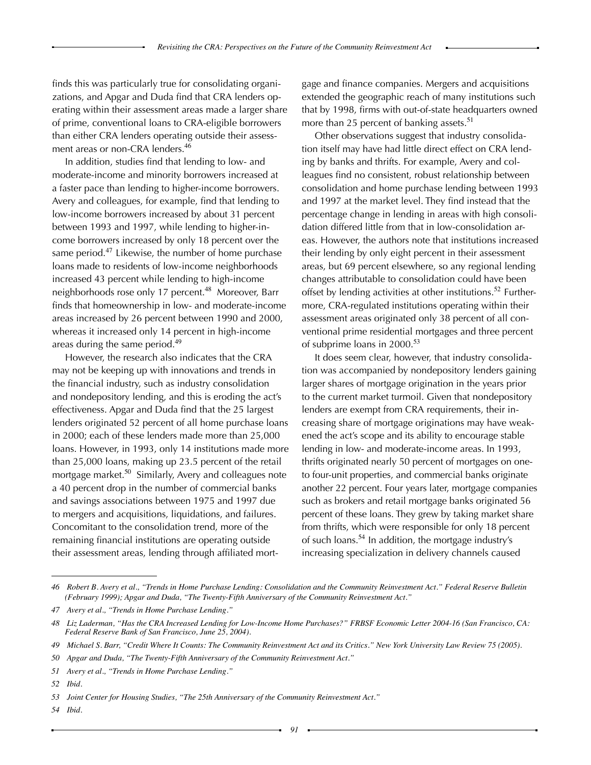finds this was particularly true for consolidating organizations, and Apgar and Duda find that CRA lenders operating within their assessment areas made a larger share of prime, conventional loans to CRA-eligible borrowers than either CRA lenders operating outside their assessment areas or non-CRA lenders.<sup>46</sup>

In addition, studies find that lending to low- and moderate-income and minority borrowers increased at a faster pace than lending to higher-income borrowers. Avery and colleagues, for example, find that lending to low-income borrowers increased by about 31 percent between 1993 and 1997, while lending to higher-income borrowers increased by only 18 percent over the same period. $47$  Likewise, the number of home purchase loans made to residents of low-income neighborhoods increased 43 percent while lending to high-income neighborhoods rose only 17 percent.<sup>48</sup> Moreover, Barr finds that homeownership in low- and moderate-income areas increased by 26 percent between 1990 and 2000, whereas it increased only 14 percent in high-income areas during the same period.<sup>49</sup>

However, the research also indicates that the CRA may not be keeping up with innovations and trends in the financial industry, such as industry consolidation and nondepository lending, and this is eroding the act's effectiveness. Apgar and Duda find that the 25 largest lenders originated 52 percent of all home purchase loans in 2000; each of these lenders made more than 25,000 loans. However, in 1993, only 14 institutions made more than 25,000 loans, making up 23.5 percent of the retail mortgage market.<sup>50</sup> Similarly, Avery and colleagues note a 40 percent drop in the number of commercial banks and savings associations between 1975 and 1997 due to mergers and acquisitions, liquidations, and failures. Concomitant to the consolidation trend, more of the remaining financial institutions are operating outside their assessment areas, lending through affiliated mortgage and finance companies. Mergers and acquisitions extended the geographic reach of many institutions such that by 1998, firms with out-of-state headquarters owned more than 25 percent of banking assets.<sup>51</sup>

Other observations suggest that industry consolidation itself may have had little direct effect on CRA lending by banks and thrifts. For example, Avery and colleagues find no consistent, robust relationship between consolidation and home purchase lending between 1993 and 1997 at the market level. They find instead that the percentage change in lending in areas with high consolidation differed little from that in low-consolidation areas. However, the authors note that institutions increased their lending by only eight percent in their assessment areas, but 69 percent elsewhere, so any regional lending changes attributable to consolidation could have been offset by lending activities at other institutions.<sup>52</sup> Furthermore, CRA-regulated institutions operating within their assessment areas originated only 38 percent of all conventional prime residential mortgages and three percent of subprime loans in 2000.<sup>53</sup>

It does seem clear, however, that industry consolidation was accompanied by nondepository lenders gaining larger shares of mortgage origination in the years prior to the current market turmoil. Given that nondepository lenders are exempt from CRA requirements, their increasing share of mortgage originations may have weakened the act's scope and its ability to encourage stable lending in low- and moderate-income areas. In 1993, thrifts originated nearly 50 percent of mortgages on oneto four-unit properties, and commercial banks originate another 22 percent. Four years later, mortgage companies such as brokers and retail mortgage banks originated 56 percent of these loans. They grew by taking market share from thrifts, which were responsible for only 18 percent of such loans.<sup>54</sup> In addition, the mortgage industry's increasing specialization in delivery channels caused

*<sup>46</sup> Robert B. Avery et al., "Trends in Home Purchase Lending: Consolidation and the Community Reinvestment Act." Federal Reserve Bulletin (February 1999); Apgar and Duda, "The Twenty-Fifth Anniversary of the Community Reinvestment Act."*

*<sup>47</sup> Avery et al., "Trends in Home Purchase Lending."*

<sup>48</sup> Liz Laderman, "Has the CRA Increased Lending for Low-Income Home Purchases?" FRBSF Economic Letter 2004-16 (San Francisco, CA: *Federal Reserve Bank of San Francisco, June 25, 2004).* 

<sup>49</sup> Michael S. Barr, "Credit Where It Counts: The Community Reinvestment Act and its Critics." New York University Law Review 75 (2005).

*<sup>50</sup>  Apgar and Duda, "The Twenty-Fifth Anniversary of the Community Reinvestment Act."*

*<sup>51</sup> Avery et al., "Trends in Home Purchase Lending."*

*<sup>52</sup>  Ibid.*

*<sup>53</sup> Joint Center for Housing Studies, "The 25th Anniversary of the Community Reinvestment Act."* 

*<sup>54</sup>  Ibid.*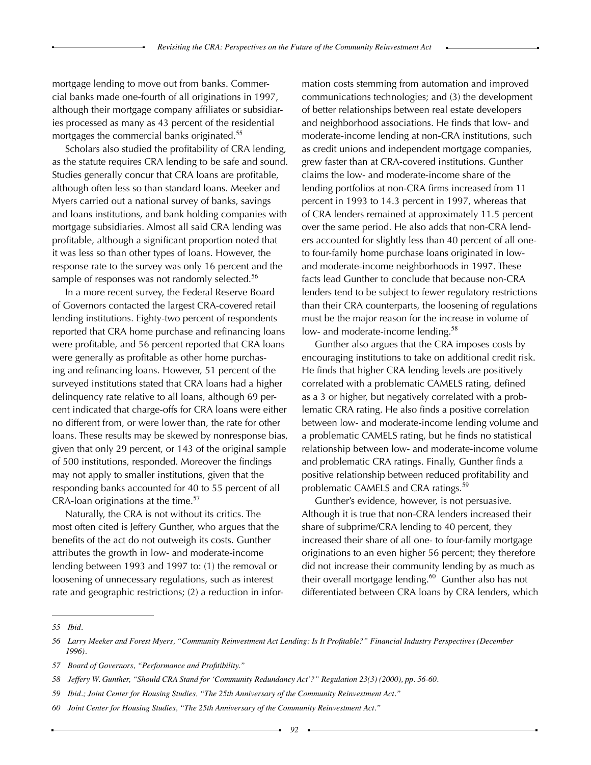mortgage lending to move out from banks. Commercial banks made one-fourth of all originations in 1997, although their mortgage company affiliates or subsidiaries processed as many as 43 percent of the residential mortgages the commercial banks originated.<sup>55</sup>

Scholars also studied the profitability of CRA lending, as the statute requires CRA lending to be safe and sound. Studies generally concur that CRA loans are profitable, although often less so than standard loans. Meeker and Myers carried out a national survey of banks, savings and loans institutions, and bank holding companies with mortgage subsidiaries. Almost all said CRA lending was profitable, although a significant proportion noted that it was less so than other types of loans. However, the response rate to the survey was only 16 percent and the sample of responses was not randomly selected.<sup>56</sup>

In a more recent survey, the Federal Reserve Board of Governors contacted the largest CRA-covered retail lending institutions. Eighty-two percent of respondents reported that CRA home purchase and refinancing loans were profitable, and 56 percent reported that CRA loans were generally as profitable as other home purchasing and refinancing loans. However, 51 percent of the surveyed institutions stated that CRA loans had a higher delinquency rate relative to all loans, although 69 percent indicated that charge-offs for CRA loans were either no different from, or were lower than, the rate for other loans. These results may be skewed by nonresponse bias, given that only 29 percent, or 143 of the original sample of 500 institutions, responded. Moreover the findings may not apply to smaller institutions, given that the responding banks accounted for 40 to 55 percent of all CRA-loan originations at the time.<sup>57</sup>

Naturally, the CRA is not without its critics. The most often cited is Jeffery Gunther, who argues that the benefits of the act do not outweigh its costs. Gunther attributes the growth in low- and moderate-income lending between 1993 and 1997 to: (1) the removal or loosening of unnecessary regulations, such as interest rate and geographic restrictions; (2) a reduction in information costs stemming from automation and improved communications technologies; and (3) the development of better relationships between real estate developers and neighborhood associations. He finds that low- and moderate-income lending at non-CRA institutions, such as credit unions and independent mortgage companies, grew faster than at CRA-covered institutions. Gunther claims the low- and moderate-income share of the lending portfolios at non-CRA firms increased from 11 percent in 1993 to 14.3 percent in 1997, whereas that of CRA lenders remained at approximately 11.5 percent over the same period. He also adds that non-CRA lenders accounted for slightly less than 40 percent of all oneto four-family home purchase loans originated in lowand moderate-income neighborhoods in 1997. These facts lead Gunther to conclude that because non-CRA lenders tend to be subject to fewer regulatory restrictions than their CRA counterparts, the loosening of regulations must be the major reason for the increase in volume of low- and moderate-income lending.<sup>58</sup>

Gunther also argues that the CRA imposes costs by encouraging institutions to take on additional credit risk. He finds that higher CRA lending levels are positively correlated with a problematic CAMELS rating, defined as a 3 or higher, but negatively correlated with a problematic CRA rating. He also finds a positive correlation between low- and moderate-income lending volume and a problematic CAMELS rating, but he finds no statistical relationship between low- and moderate-income volume and problematic CRA ratings. Finally, Gunther finds a positive relationship between reduced profitability and problematic CAMELS and CRA ratings.<sup>59</sup>

Gunther's evidence, however, is not persuasive. Although it is true that non-CRA lenders increased their share of subprime/CRA lending to 40 percent, they increased their share of all one- to four-family mortgage originations to an even higher 56 percent; they therefore did not increase their community lending by as much as their overall mortgage lending. $60$  Gunther also has not differentiated between CRA loans by CRA lenders, which

*<sup>55</sup>  Ibid.*

<sup>56</sup> Larry Meeker and Forest Myers, "Community Reinvestment Act Lending: Is It Profitable?" Financial Industry Perspectives (December *1996).*

*<sup>57</sup>  Board of Governors, "Performance and Profitibility."*

*<sup>58</sup>  Jeffery W. Gunther, "Should CRA Stand for 'Community Redundancy Act'?" Regulation 23(3) (2000), pp. 56-60.*

*<sup>59</sup>  Ibid.; Joint Center for Housing Studies, "The 25th Anniversary of the Community Reinvestment Act."*

*<sup>60</sup> Joint Center for Housing Studies, "The 25th Anniversary of the Community Reinvestment Act."*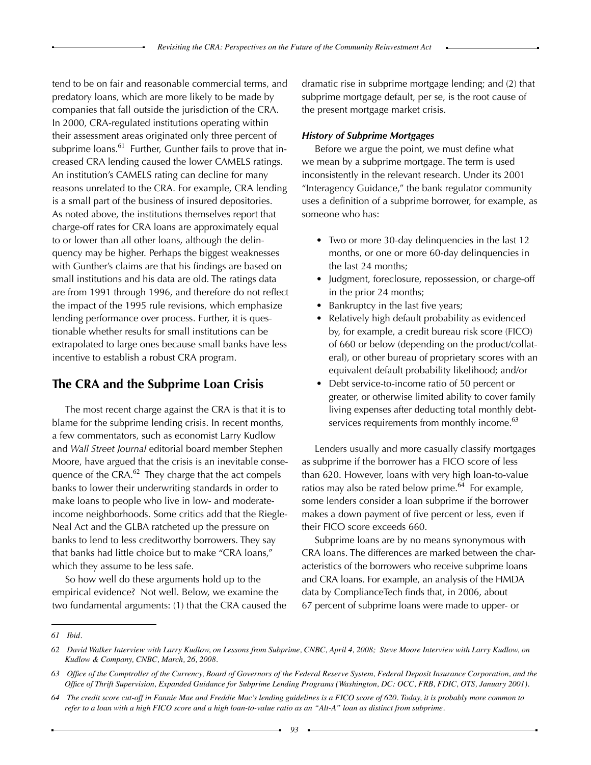tend to be on fair and reasonable commercial terms, and predatory loans, which are more likely to be made by companies that fall outside the jurisdiction of the CRA. In 2000, CRA-regulated institutions operating within their assessment areas originated only three percent of subprime  $loans.61$  Further, Gunther fails to prove that increased CRA lending caused the lower CAMELS ratings. An institution's CAMELS rating can decline for many reasons unrelated to the CRA. For example, CRA lending is a small part of the business of insured depositories. As noted above, the institutions themselves report that charge-off rates for CRA loans are approximately equal to or lower than all other loans, although the delinquency may be higher. Perhaps the biggest weaknesses with Gunther's claims are that his findings are based on small institutions and his data are old. The ratings data are from 1991 through 1996, and therefore do not reflect the impact of the 1995 rule revisions, which emphasize lending performance over process. Further, it is questionable whether results for small institutions can be extrapolated to large ones because small banks have less incentive to establish a robust CRA program.

# **The CRA and the Subprime Loan Crisis**

The most recent charge against the CRA is that it is to blame for the subprime lending crisis. In recent months, a few commentators, such as economist Larry Kudlow and *Wall Street Journal* editorial board member Stephen Moore, have argued that the crisis is an inevitable consequence of the CRA.<sup>62</sup> They charge that the act compels banks to lower their underwriting standards in order to make loans to people who live in low- and moderateincome neighborhoods. Some critics add that the Riegle-Neal Act and the GLBA ratcheted up the pressure on banks to lend to less creditworthy borrowers. They say that banks had little choice but to make "CRA loans," which they assume to be less safe.

So how well do these arguments hold up to the empirical evidence? Not well. Below, we examine the two fundamental arguments: (1) that the CRA caused the dramatic rise in subprime mortgage lending; and (2) that subprime mortgage default, per se, is the root cause of the present mortgage market crisis.

### *History of Subprime Mortgages*

Before we argue the point, we must define what we mean by a subprime mortgage. The term is used inconsistently in the relevant research. Under its 2001 "Interagency Guidance," the bank regulator community uses a definition of a subprime borrower, for example, as someone who has:

- Two or more 30-day delinquencies in the last 12 months, or one or more 60-day delinquencies in the last 24 months;
- Judgment, foreclosure, repossession, or charge-off in the prior 24 months;
- Bankruptcy in the last five years;
- Relatively high default probability as evidenced by, for example, a credit bureau risk score (FICO) of 660 or below (depending on the product/collateral), or other bureau of proprietary scores with an equivalent default probability likelihood; and/or
- Debt service-to-income ratio of 50 percent or greater, or otherwise limited ability to cover family living expenses after deducting total monthly debtservices requirements from monthly income.<sup>63</sup>

Lenders usually and more casually classify mortgages as subprime if the borrower has a FICO score of less than 620. However, loans with very high loan-to-value ratios may also be rated below prime. $^{64}$  For example, some lenders consider a loan subprime if the borrower makes a down payment of five percent or less, even if their FICO score exceeds 660.

Subprime loans are by no means synonymous with CRA loans. The differences are marked between the characteristics of the borrowers who receive subprime loans and CRA loans. For example, an analysis of the HMDA data by ComplianceTech finds that, in 2006, about 67 percent of subprime loans were made to upper- or

*<sup>61</sup>  Ibid.*

<sup>62</sup> David Walker Interview with Larry Kudlow, on Lessons from Subprime, CNBC, April 4, 2008; Steve Moore Interview with Larry Kudlow, on *Kudlow & Company, CNBC, March, 26, 2008.*

<sup>63</sup> Office of the Comptroller of the Currency, Board of Governors of the Federal Reserve System, Federal Deposit Insurance Corporation, and the Office of Thrift Supervision, Expanded Guidance for Subprime Lending Programs (Washington, DC: OCC, FRB, FDIC, OTS, January 2001).

<sup>64</sup> The credit score cut-off in Fannie Mae and Freddie Mac's lending guidelines is a FICO score of 620. Today, it is probably more common to refer to a loan with a high FICO score and a high loan-to-value ratio as an "Alt-A" loan as distinct from subprime.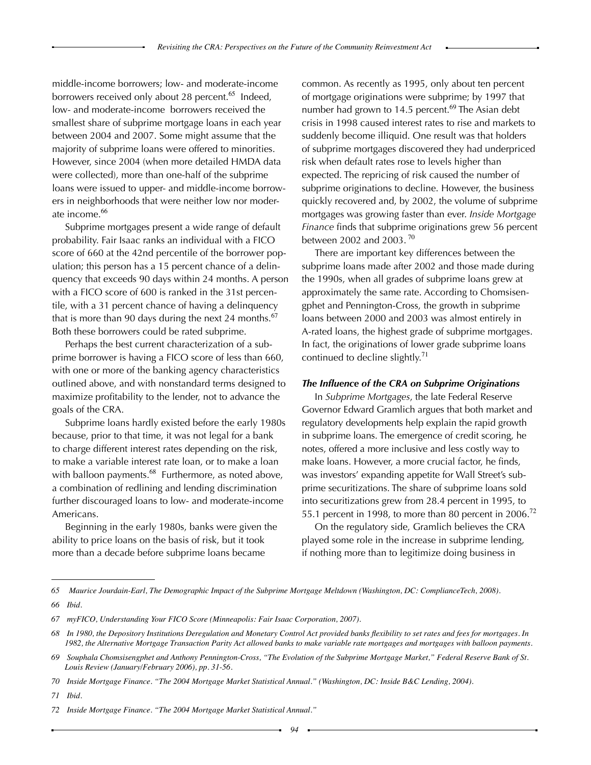middle-income borrowers; low- and moderate-income borrowers received only about 28 percent.<sup>65</sup> Indeed, low- and moderate-income borrowers received the smallest share of subprime mortgage loans in each year between 2004 and 2007. Some might assume that the majority of subprime loans were offered to minorities. However, since 2004 (when more detailed HMDA data were collected), more than one-half of the subprime loans were issued to upper- and middle-income borrowers in neighborhoods that were neither low nor moderate income.<sup>66</sup>

Subprime mortgages present a wide range of default probability. Fair Isaac ranks an individual with a FICO score of 660 at the 42nd percentile of the borrower population; this person has a 15 percent chance of a delinquency that exceeds 90 days within 24 months. A person with a FICO score of 600 is ranked in the 31st percentile, with a 31 percent chance of having a delinquency that is more than 90 days during the next 24 months.<sup>67</sup> Both these borrowers could be rated subprime.

Perhaps the best current characterization of a subprime borrower is having a FICO score of less than 660, with one or more of the banking agency characteristics outlined above, and with nonstandard terms designed to maximize profitability to the lender, not to advance the goals of the CRA.

Subprime loans hardly existed before the early 1980s because, prior to that time, it was not legal for a bank to charge different interest rates depending on the risk, to make a variable interest rate loan, or to make a loan with balloon payments. $^{68}$  Furthermore, as noted above, a combination of redlining and lending discrimination further discouraged loans to low- and moderate-income Americans.

Beginning in the early 1980s, banks were given the ability to price loans on the basis of risk, but it took more than a decade before subprime loans became

common. As recently as 1995, only about ten percent of mortgage originations were subprime; by 1997 that number had grown to 14.5 percent.<sup>69</sup> The Asian debt crisis in 1998 caused interest rates to rise and markets to suddenly become illiquid. One result was that holders of subprime mortgages discovered they had underpriced risk when default rates rose to levels higher than expected. The repricing of risk caused the number of subprime originations to decline. However, the business quickly recovered and, by 2002, the volume of subprime mortgages was growing faster than ever. *Inside Mortgage Finance* finds that subprime originations grew 56 percent between 2002 and 2003. $^{70}$ 

There are important key differences between the subprime loans made after 2002 and those made during the 1990s, when all grades of subprime loans grew at approximately the same rate. According to Chomsisengphet and Pennington-Cross, the growth in subprime loans between 2000 and 2003 was almost entirely in A-rated loans, the highest grade of subprime mortgages. In fact, the originations of lower grade subprime loans continued to decline slightly.<sup>71</sup>

#### *The Influence of the CRA on Subprime Originations*

In *Subprime Mortgages*, the late Federal Reserve Governor Edward Gramlich argues that both market and regulatory developments help explain the rapid growth in subprime loans. The emergence of credit scoring, he notes, offered a more inclusive and less costly way to make loans. However, a more crucial factor, he finds, was investors' expanding appetite for Wall Street's subprime securitizations. The share of subprime loans sold into securitizations grew from 28.4 percent in 1995, to 55.1 percent in 1998, to more than 80 percent in 2006.<sup>72</sup>

On the regulatory side, Gramlich believes the CRA played some role in the increase in subprime lending, if nothing more than to legitimize doing business in

<sup>65</sup> Maurice Jourdain-Earl, The Demographic Impact of the Subprime Mortgage Meltdown (Washington, DC: ComplianceTech, 2008). *66 Ibid.*

*<sup>67</sup>  myFICO, Understanding Your FICO Score (Minneapolis: Fair Isaac Corporation, 2007).*

<sup>68</sup> In 1980, the Depository Institutions Deregulation and Monetary Control Act provided banks flexibility to set rates and fees for mortgages. In *1982, the Alternative Mortgage Transaction Parity Act allowed banks to make variable rate mortgages and mortgages with balloon payments.*

<sup>69</sup> Souphala Chomsisengphet and Anthony Pennington-Cross, "The Evolution of the Subprime Mortgage Market," Federal Reserve Bank of St. *Louis Review (January/February 2006), pp. 31-56.*

<sup>70</sup> Inside Mortgage Finance. "The 2004 Mortgage Market Statistical Annual." (Washington, DC: Inside B&C Lending, 2004).

*<sup>71</sup>  Ibid.*

*<sup>72</sup>  Inside Mortgage Finance. "The 2004 Mortgage Market Statistical Annual."*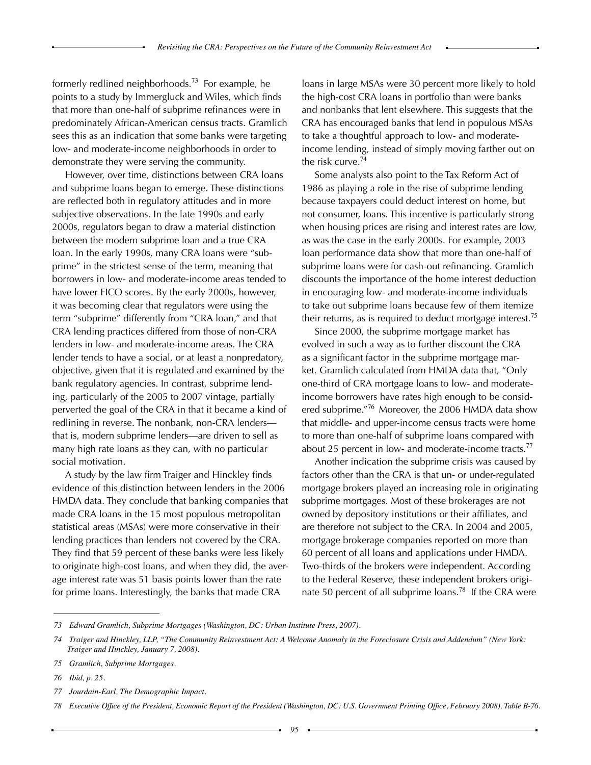formerly redlined neighborhoods.<sup>73</sup> For example, he points to a study by Immergluck and Wiles, which finds that more than one-half of subprime refinances were in predominately African-American census tracts. Gramlich sees this as an indication that some banks were targeting low- and moderate-income neighborhoods in order to demonstrate they were serving the community.

However, over time, distinctions between CRA loans and subprime loans began to emerge. These distinctions are reflected both in regulatory attitudes and in more subjective observations. In the late 1990s and early 2000s, regulators began to draw a material distinction between the modern subprime loan and a true CRA loan. In the early 1990s, many CRA loans were "subprime" in the strictest sense of the term, meaning that borrowers in low- and moderate-income areas tended to have lower FICO scores. By the early 2000s, however, it was becoming clear that regulators were using the term "subprime" differently from "CRA loan," and that CRA lending practices differed from those of non-CRA lenders in low- and moderate-income areas. The CRA lender tends to have a social, or at least a nonpredatory, objective, given that it is regulated and examined by the bank regulatory agencies. In contrast, subprime lending, particularly of the 2005 to 2007 vintage, partially perverted the goal of the CRA in that it became a kind of redlining in reverse. The nonbank, non-CRA lenders that is, modern subprime lenders—are driven to sell as many high rate loans as they can, with no particular social motivation.

A study by the law firm Traiger and Hinckley finds evidence of this distinction between lenders in the 2006 HMDA data. They conclude that banking companies that made CRA loans in the 15 most populous metropolitan statistical areas (MSAs) were more conservative in their lending practices than lenders not covered by the CRA. They find that 59 percent of these banks were less likely to originate high-cost loans, and when they did, the average interest rate was 51 basis points lower than the rate for prime loans. Interestingly, the banks that made CRA

loans in large MSAs were 30 percent more likely to hold the high-cost CRA loans in portfolio than were banks and nonbanks that lent elsewhere. This suggests that the CRA has encouraged banks that lend in populous MSAs to take a thoughtful approach to low- and moderateincome lending, instead of simply moving farther out on the risk curve.<sup>74</sup>

Some analysts also point to the Tax Reform Act of 1986 as playing a role in the rise of subprime lending because taxpayers could deduct interest on home, but not consumer, loans. This incentive is particularly strong when housing prices are rising and interest rates are low, as was the case in the early 2000s. For example, 2003 loan performance data show that more than one-half of subprime loans were for cash-out refinancing. Gramlich discounts the importance of the home interest deduction in encouraging low- and moderate-income individuals to take out subprime loans because few of them itemize their returns, as is required to deduct mortgage interest.<sup>75</sup>

Since 2000, the subprime mortgage market has evolved in such a way as to further discount the CRA as a significant factor in the subprime mortgage market. Gramlich calculated from HMDA data that, "Only one-third of CRA mortgage loans to low- and moderateincome borrowers have rates high enough to be considered subprime."<sup>76</sup> Moreover, the 2006 HMDA data show that middle- and upper-income census tracts were home to more than one-half of subprime loans compared with about 25 percent in low- and moderate-income tracts.<sup>77</sup>

Another indication the subprime crisis was caused by factors other than the CRA is that un- or under-regulated mortgage brokers played an increasing role in originating subprime mortgages. Most of these brokerages are not owned by depository institutions or their affiliates, and are therefore not subject to the CRA. In 2004 and 2005, mortgage brokerage companies reported on more than 60 percent of all loans and applications under HMDA. Two-thirds of the brokers were independent. According to the Federal Reserve, these independent brokers originate 50 percent of all subprime loans.<sup>78</sup> If the CRA were

*<sup>73</sup>  Edward Gramlich, Subprime Mortgages (Washington, DC: Urban Institute Press, 2007).*

*<sup>74</sup> Traiger and Hinckley, LLP, "The Community Reinvestment Act: A Welcome Anomaly in the Foreclosure Crisis and Addendum" (New York: Traiger and Hinckley, January 7, 2008).*

*<sup>75</sup> Gramlich, Subprime Mortgages.*

*<sup>76</sup>  Ibid, p. 25.*

*<sup>77</sup>  Jourdain-Earl, The Demographic Impact.*

<sup>78</sup> Executive Office of the President, Economic Report of the President (Washington, DC: U.S. Government Printing Office, February 2008), Table B-76.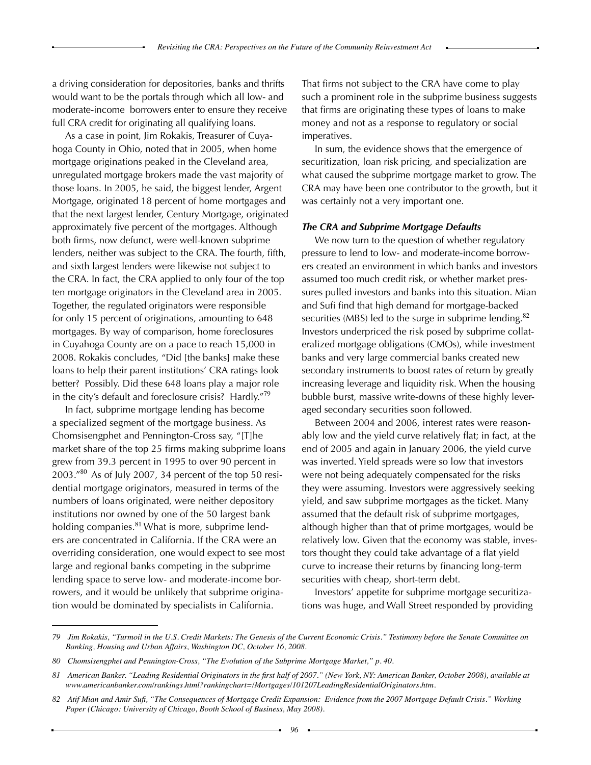a driving consideration for depositories, banks and thrifts would want to be the portals through which all low- and moderate-income borrowers enter to ensure they receive full CRA credit for originating all qualifying loans.

As a case in point, Jim Rokakis, Treasurer of Cuyahoga County in Ohio, noted that in 2005, when home mortgage originations peaked in the Cleveland area, unregulated mortgage brokers made the vast majority of those loans. In 2005, he said, the biggest lender, Argent Mortgage, originated 18 percent of home mortgages and that the next largest lender, Century Mortgage, originated approximately five percent of the mortgages. Although both firms, now defunct, were well-known subprime lenders, neither was subject to the CRA. The fourth, fifth, and sixth largest lenders were likewise not subject to the CRA. In fact, the CRA applied to only four of the top ten mortgage originators in the Cleveland area in 2005. Together, the regulated originators were responsible for only 15 percent of originations, amounting to 648 mortgages. By way of comparison, home foreclosures in Cuyahoga County are on a pace to reach 15,000 in 2008. Rokakis concludes, "Did [the banks] make these loans to help their parent institutions' CRA ratings look better? Possibly. Did these 648 loans play a major role in the city's default and foreclosure crisis? Hardly."<sup>19</sup>

In fact, subprime mortgage lending has become a specialized segment of the mortgage business. As Chomsisengphet and Pennington-Cross say, "[T]he market share of the top 25 firms making subprime loans grew from 39.3 percent in 1995 to over 90 percent in  $2003."^{80}$  As of July 2007, 34 percent of the top 50 residential mortgage originators, measured in terms of the numbers of loans originated, were neither depository institutions nor owned by one of the 50 largest bank holding companies. $81$  What is more, subprime lenders are concentrated in California. If the CRA were an overriding consideration, one would expect to see most large and regional banks competing in the subprime lending space to serve low- and moderate-income borrowers, and it would be unlikely that subprime origination would be dominated by specialists in California.

That firms not subject to the CRA have come to play such a prominent role in the subprime business suggests that firms are originating these types of loans to make money and not as a response to regulatory or social imperatives.

In sum, the evidence shows that the emergence of securitization, loan risk pricing, and specialization are what caused the subprime mortgage market to grow. The CRA may have been one contributor to the growth, but it was certainly not a very important one.

#### *The CRA and Subprime Mortgage Defaults*

We now turn to the question of whether regulatory pressure to lend to low- and moderate-income borrowers created an environment in which banks and investors assumed too much credit risk, or whether market pressures pulled investors and banks into this situation. Mian and Sufi find that high demand for mortgage-backed securities (MBS) led to the surge in subprime lending.<sup>82</sup> Investors underpriced the risk posed by subprime collateralized mortgage obligations (CMOs), while investment banks and very large commercial banks created new secondary instruments to boost rates of return by greatly increasing leverage and liquidity risk. When the housing bubble burst, massive write-downs of these highly leveraged secondary securities soon followed.

Between 2004 and 2006, interest rates were reasonably low and the yield curve relatively flat; in fact, at the end of 2005 and again in January 2006, the yield curve was inverted. Yield spreads were so low that investors were not being adequately compensated for the risks they were assuming. Investors were aggressively seeking yield, and saw subprime mortgages as the ticket. Many assumed that the default risk of subprime mortgages, although higher than that of prime mortgages, would be relatively low. Given that the economy was stable, investors thought they could take advantage of a flat yield curve to increase their returns by financing long-term securities with cheap, short-term debt.

Investors' appetite for subprime mortgage securitizations was huge, and Wall Street responded by providing

*<sup>79</sup> Jim Rokakis, "Turmoil in the U.S. Credit Markets: The Genesis of the Current Economic Crisis." Testimony before the Senate Committee on Banking, Housing and Urban Affairs, Washington DC, October 16, 2008.*

*<sup>80</sup>  Chomsisengphet and Pennington-Cross, "The Evolution of the Subprime Mortgage Market," p. 40.*

<sup>81</sup> American Banker. "Leading Residential Originators in the first half of 2007." (New York, NY: American Banker, October 2008), available at *www.americanbanker.com/rankings.html?rankingchart=/Mortgages/101207LeadingResidentialOriginators.htm.*

<sup>82</sup> Atif Mian and Amir Sufi, "The Consequences of Mortgage Credit Expansion: Evidence from the 2007 Mortgage Default Crisis." Working *Paper (Chicago: University of Chicago, Booth School of Business, May 2008).*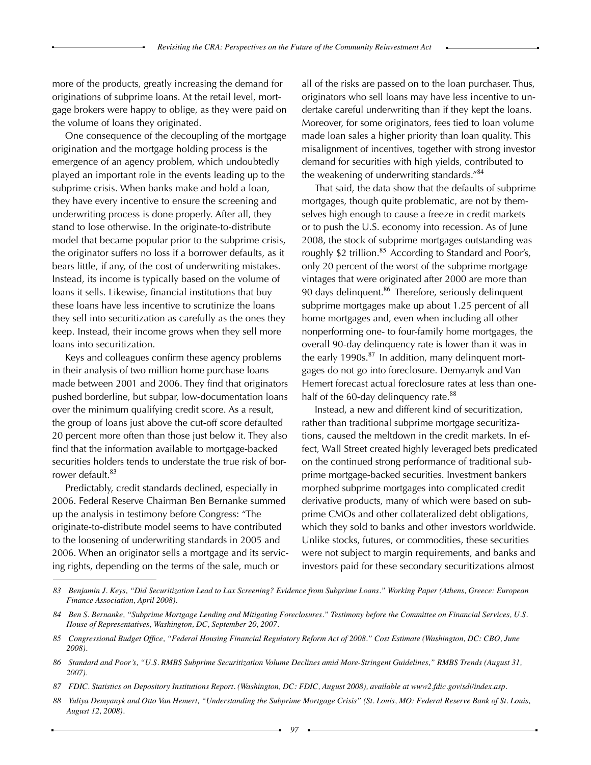more of the products, greatly increasing the demand for originations of subprime loans. At the retail level, mortgage brokers were happy to oblige, as they were paid on the volume of loans they originated.

One consequence of the decoupling of the mortgage origination and the mortgage holding process is the emergence of an agency problem, which undoubtedly played an important role in the events leading up to the subprime crisis. When banks make and hold a loan, they have every incentive to ensure the screening and underwriting process is done properly. After all, they stand to lose otherwise. In the originate-to-distribute model that became popular prior to the subprime crisis, the originator suffers no loss if a borrower defaults, as it bears little, if any, of the cost of underwriting mistakes. Instead, its income is typically based on the volume of loans it sells. Likewise, financial institutions that buy these loans have less incentive to scrutinize the loans they sell into securitization as carefully as the ones they keep. Instead, their income grows when they sell more loans into securitization.

Keys and colleagues confirm these agency problems in their analysis of two million home purchase loans made between 2001 and 2006. They find that originators pushed borderline, but subpar, low-documentation loans over the minimum qualifying credit score. As a result, the group of loans just above the cut-off score defaulted 20 percent more often than those just below it. They also find that the information available to mortgage-backed securities holders tends to understate the true risk of borrower default.<sup>83</sup>

Predictably, credit standards declined, especially in 2006. Federal Reserve Chairman Ben Bernanke summed up the analysis in testimony before Congress: "The originate-to-distribute model seems to have contributed to the loosening of underwriting standards in 2005 and 2006. When an originator sells a mortgage and its servicing rights, depending on the terms of the sale, much or

all of the risks are passed on to the loan purchaser. Thus, originators who sell loans may have less incentive to undertake careful underwriting than if they kept the loans. Moreover, for some originators, fees tied to loan volume made loan sales a higher priority than loan quality. This misalignment of incentives, together with strong investor demand for securities with high yields, contributed to the weakening of underwriting standards."<sup>84</sup>

That said, the data show that the defaults of subprime mortgages, though quite problematic, are not by themselves high enough to cause a freeze in credit markets or to push the U.S. economy into recession. As of June 2008, the stock of subprime mortgages outstanding was roughly \$2 trillion.<sup>85</sup> According to Standard and Poor's, only 20 percent of the worst of the subprime mortgage vintages that were originated after 2000 are more than 90 days delinquent.<sup>86</sup> Therefore, seriously delinquent subprime mortgages make up about 1.25 percent of all home mortgages and, even when including all other nonperforming one- to four-family home mortgages, the overall 90-day delinquency rate is lower than it was in the early 1990s. $^{87}$  In addition, many delinquent mortgages do not go into foreclosure. Demyanyk and Van Hemert forecast actual foreclosure rates at less than onehalf of the 60-day delinquency rate.<sup>88</sup>

Instead, a new and different kind of securitization, rather than traditional subprime mortgage securitizations, caused the meltdown in the credit markets. In effect, Wall Street created highly leveraged bets predicated on the continued strong performance of traditional subprime mortgage-backed securities. Investment bankers morphed subprime mortgages into complicated credit derivative products, many of which were based on subprime CMOs and other collateralized debt obligations, which they sold to banks and other investors worldwide. Unlike stocks, futures, or commodities, these securities were not subject to margin requirements, and banks and investors paid for these secondary securitizations almost

<sup>83</sup> Benjamin J. Keys, "Did Securitization Lead to Lax Screening? Evidence from Subprime Loans." Working Paper (Athens, Greece: European *Finance Association, April 2008).* 

*<sup>84</sup> Ben S. Bernanke, "Subprime Mortgage Lending and Mitigating Foreclosures." Testimony before the Committee on Financial Services, U.S. House of Representatives, Washington, DC, September 20, 2007.* 

<sup>85</sup> Congressional Budget Office, "Federal Housing Financial Regulatory Reform Act of 2008." Cost Estimate (Washington, DC: CBO, June *2008).* 

<sup>86</sup> Standard and Poor's, "U.S. RMBS Subprime Securitization Volume Declines amid More-Stringent Guidelines," RMBS Trends (August 31, *2007).*

<sup>87</sup> FDIC. Statistics on Depository Institutions Report. (Washington, DC: FDIC, August 2008), available at www2.fdic.gov/sdi/index.asp.

*<sup>88</sup> Yuliya Demyanyk and Otto Van Hemert, "Understanding the Subprime Mortgage Crisis" (St. Louis, MO: Federal Reserve Bank of St. Louis, August 12, 2008).*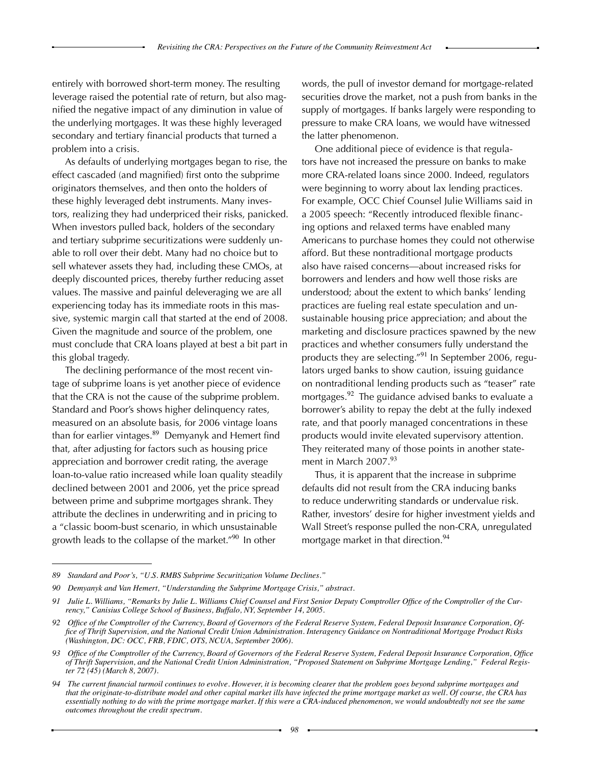entirely with borrowed short-term money. The resulting leverage raised the potential rate of return, but also magnified the negative impact of any diminution in value of the underlying mortgages. It was these highly leveraged secondary and tertiary financial products that turned a problem into a crisis.

As defaults of underlying mortgages began to rise, the effect cascaded (and magnified) first onto the subprime originators themselves, and then onto the holders of these highly leveraged debt instruments. Many investors, realizing they had underpriced their risks, panicked. When investors pulled back, holders of the secondary and tertiary subprime securitizations were suddenly unable to roll over their debt. Many had no choice but to sell whatever assets they had, including these CMOs, at deeply discounted prices, thereby further reducing asset values. The massive and painful deleveraging we are all experiencing today has its immediate roots in this massive, systemic margin call that started at the end of 2008. Given the magnitude and source of the problem, one must conclude that CRA loans played at best a bit part in this global tragedy.

The declining performance of the most recent vintage of subprime loans is yet another piece of evidence that the CRA is not the cause of the subprime problem. Standard and Poor's shows higher delinquency rates, measured on an absolute basis, for 2006 vintage loans than for earlier vintages.<sup>89</sup> Demyanyk and Hemert find that, after adjusting for factors such as housing price appreciation and borrower credit rating, the average loan-to-value ratio increased while loan quality steadily declined between 2001 and 2006, yet the price spread between prime and subprime mortgages shrank. They attribute the declines in underwriting and in pricing to a "classic boom-bust scenario, in which unsustainable growth leads to the collapse of the market."<sup>90</sup> In other

words, the pull of investor demand for mortgage-related securities drove the market, not a push from banks in the supply of mortgages. If banks largely were responding to pressure to make CRA loans, we would have witnessed the latter phenomenon.

One additional piece of evidence is that regulators have not increased the pressure on banks to make more CRA-related loans since 2000. Indeed, regulators were beginning to worry about lax lending practices. For example, OCC Chief Counsel Julie Williams said in a 2005 speech: "Recently introduced flexible financing options and relaxed terms have enabled many Americans to purchase homes they could not otherwise afford. But these nontraditional mortgage products also have raised concerns—about increased risks for borrowers and lenders and how well those risks are understood; about the extent to which banks' lending practices are fueling real estate speculation and unsustainable housing price appreciation; and about the marketing and disclosure practices spawned by the new practices and whether consumers fully understand the products they are selecting."<sup>91</sup> In September 2006, regulators urged banks to show caution, issuing guidance on nontraditional lending products such as "teaser" rate mortgages.<sup>92</sup> The guidance advised banks to evaluate a borrower's ability to repay the debt at the fully indexed rate, and that poorly managed concentrations in these products would invite elevated supervisory attention. They reiterated many of those points in another statement in March 2007.<sup>93</sup>

Thus, it is apparent that the increase in subprime defaults did not result from the CRA inducing banks to reduce underwriting standards or undervalue risk. Rather, investors' desire for higher investment yields and Wall Street's response pulled the non-CRA, unregulated mortgage market in that direction.<sup>94</sup>

*<sup>89</sup> Standard and Poor's, "U.S. RMBS Subprime Securitization Volume Declines."*

*<sup>90</sup> Demyanyk and Van Hemert, "Understanding the Subprime Mortgage Crisis," abstract.*

Julie L. Williams, "Remarks by Julie L. Williams Chief Counsel and First Senior Deputy Comptroller Office of the Comptroller of the Cur*rency," Canisius College School of Business, Buffalo, NY, September 14, 2005.* 

<sup>92</sup> Office of the Comptroller of the Currency, Board of Governors of the Federal Reserve System, Federal Deposit Insurance Corporation, Office of Thrift Supervision, and the National Credit Union Administration. Interagency Guidance on Nontraditional Mortgage Product Risks *(Washington, DC: OCC, FRB, FDIC, OTS, NCUA, September 2006).*

<sup>93</sup> Office of the Comptroller of the Currency, Board of Governors of the Federal Reserve System, Federal Deposit Insurance Corporation, Office *of Thrift Supervision, and the National Credit Union Administration, "Proposed Statement on Subprime Mortgage Lending," Federal Register 72 (45) (March 8, 2007).*

<sup>94</sup> The current financial turmoil continues to evolve. However, it is becoming clearer that the problem goes beyond subprime mortgages and that the originate-to-distribute model and other capital market ills have infected the prime mortgage market as well. Of course, the CRA has essentially nothing to do with the prime mortgage market. If this were a CRA-induced phenomenon, we would undoubtedly not see the same *outcomes throughout the credit spectrum.*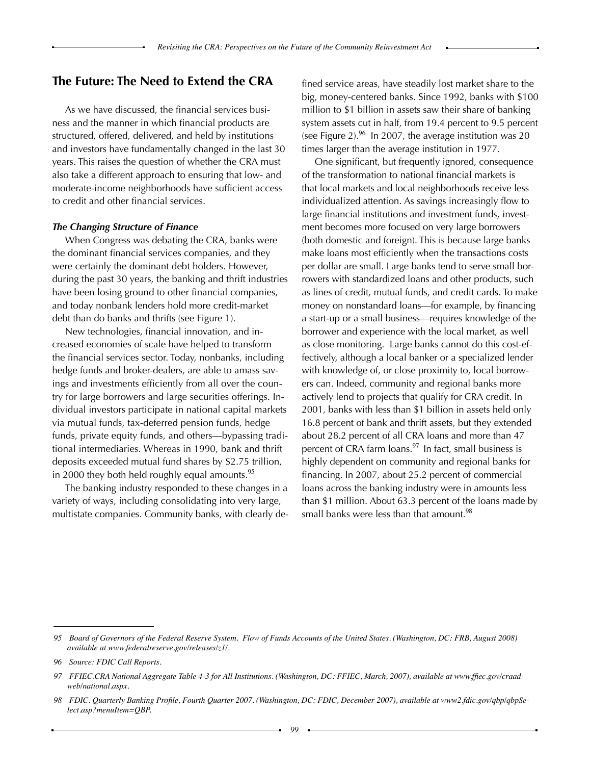### **The Future: The Need to Extend the CRA**

As we have discussed, the financial services business and the manner in which financial products are structured, offered, delivered, and held by institutions and investors have fundamentally changed in the last 30 years. This raises the question of whether the CRA must also take a different approach to ensuring that low- and moderate-income neighborhoods have sufficient access to credit and other financial services.

#### *The Changing Structure of Finance*

When Congress was debating the CRA, banks were the dominant financial services companies, and they were certainly the dominant debt holders. However, during the past 30 years, the banking and thrift industries have been losing ground to other financial companies, and today nonbank lenders hold more credit-market debt than do banks and thrifts (see Figure 1).

New technologies, financial innovation, and increased economies of scale have helped to transform the financial services sector. Today, nonbanks, including hedge funds and broker-dealers, are able to amass savings and investments efficiently from all over the country for large borrowers and large securities offerings. Individual investors participate in national capital markets via mutual funds, tax-deferred pension funds, hedge funds, private equity funds, and others—bypassing traditional intermediaries. Whereas in 1990, bank and thrift deposits exceeded mutual fund shares by \$2.75 trillion, in 2000 they both held roughly equal amounts.<sup>95</sup>

The banking industry responded to these changes in a variety of ways, including consolidating into very large, multistate companies. Community banks, with clearly defined service areas, have steadily lost market share to the big, money-centered banks. Since 1992, banks with \$100 million to \$1 billion in assets saw their share of banking system assets cut in half, from 19.4 percent to 9.5 percent (see Figure 2).<sup>96</sup> In 2007, the average institution was 20 times larger than the average institution in 1977.

One significant, but frequently ignored, consequence of the transformation to national financial markets is that local markets and local neighborhoods receive less individualized attention. As savings increasingly flow to large financial institutions and investment funds, investment becomes more focused on very large borrowers (both domestic and foreign). This is because large banks make loans most efficiently when the transactions costs per dollar are small. Large banks tend to serve small borrowers with standardized loans and other products, such as lines of credit, mutual funds, and credit cards. To make money on nonstandard loans—for example, by financing a start-up or a small business—requires knowledge of the borrower and experience with the local market, as well as close monitoring. Large banks cannot do this cost-effectively, although a local banker or a specialized lender with knowledge of, or close proximity to, local borrowers can. Indeed, community and regional banks more actively lend to projects that qualify for CRA credit. In 2001, banks with less than \$1 billion in assets held only 16.8 percent of bank and thrift assets, but they extended about 28.2 percent of all CRA loans and more than 47 percent of CRA farm loans.<sup>97</sup> In fact, small business is highly dependent on community and regional banks for financing. In 2007, about 25.2 percent of commercial loans across the banking industry were in amounts less than \$1 million. About 63.3 percent of the loans made by small banks were less than that amount.<sup>98</sup>

*<sup>95</sup> Board of Governors of the Federal Reserve System. Flow of Funds Accounts of the United States. (Washington, DC: FRB, August 2008) available at www.federalreserve.gov/releases/z1/.*

*<sup>96</sup>  Source: FDIC Call Reports.*

<sup>97</sup> FFIEC.CRA National Aggregate Table 4-3 for All Institutions. (Washington, DC: FFIEC, March, 2007), available at www.ffiec.gov/craad*web/national.aspx.*

<sup>98</sup> FDIC. Quarterly Banking Profile, Fourth Quarter 2007. (Washington, DC: FDIC, December 2007), available at www2.fdic.gov/qbp/qbpSe*lect.asp?menuItem=QBP.*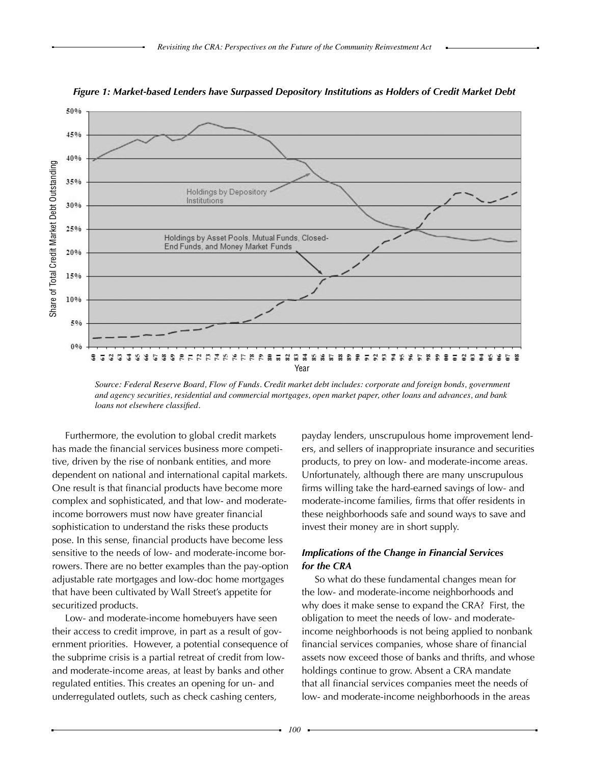

*Figure 1: Market-based Lenders have Surpassed Depository Institutions as Holders of Credit Market Debt*

*Source: Federal Reserve Board, Flow of Funds. Credit market debt includes: corporate and foreign bonds, government and agency securities, residential and commercial mortgages, open market paper, other loans and advances, and bank loans not elsewhere classified.*

Furthermore, the evolution to global credit markets has made the financial services business more competitive, driven by the rise of nonbank entities, and more dependent on national and international capital markets. One result is that financial products have become more complex and sophisticated, and that low- and moderateincome borrowers must now have greater financial sophistication to understand the risks these products pose. In this sense, financial products have become less sensitive to the needs of low- and moderate-income borrowers. There are no better examples than the pay-option adjustable rate mortgages and low-doc home mortgages that have been cultivated by Wall Street's appetite for securitized products.

Low- and moderate-income homebuyers have seen their access to credit improve, in part as a result of government priorities. However, a potential consequence of the subprime crisis is a partial retreat of credit from lowand moderate-income areas, at least by banks and other regulated entities. This creates an opening for un- and underregulated outlets, such as check cashing centers,

payday lenders, unscrupulous home improvement lenders, and sellers of inappropriate insurance and securities products, to prey on low- and moderate-income areas. Unfortunately, although there are many unscrupulous firms willing take the hard-earned savings of low- and moderate-income families, firms that offer residents in these neighborhoods safe and sound ways to save and invest their money are in short supply.

### *Implications of the Change in Financial Services for the CRA*

So what do these fundamental changes mean for the low- and moderate-income neighborhoods and why does it make sense to expand the CRA? First, the obligation to meet the needs of low- and moderateincome neighborhoods is not being applied to nonbank financial services companies, whose share of financial assets now exceed those of banks and thrifts, and whose holdings continue to grow. Absent a CRA mandate that all financial services companies meet the needs of low- and moderate-income neighborhoods in the areas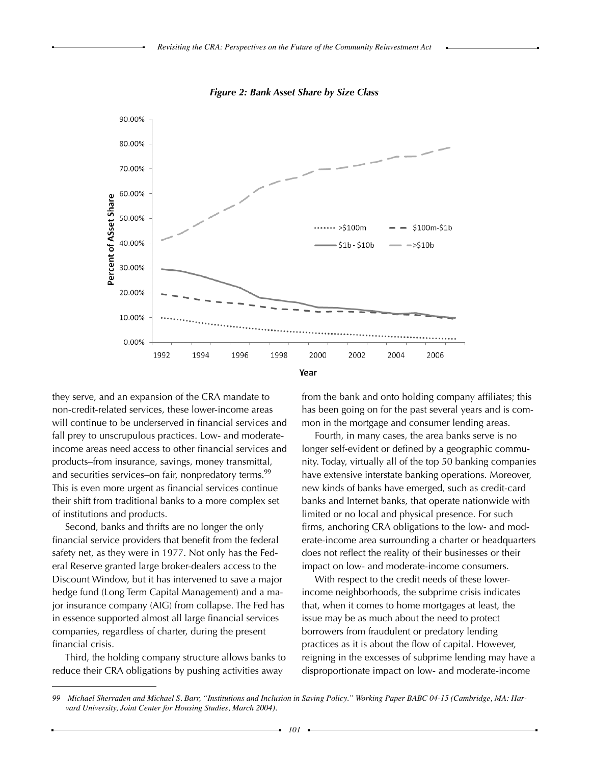

*Figure 2: Bank Asset Share by Size Class*

they serve, and an expansion of the CRA mandate to non-credit-related services, these lower-income areas will continue to be underserved in financial services and fall prey to unscrupulous practices. Low- and moderateincome areas need access to other financial services and products–from insurance, savings, money transmittal, and securities services–on fair, nonpredatory terms.<sup>99</sup> This is even more urgent as financial services continue their shift from traditional banks to a more complex set of institutions and products.

Second, banks and thrifts are no longer the only financial service providers that benefit from the federal safety net, as they were in 1977. Not only has the Federal Reserve granted large broker-dealers access to the Discount Window, but it has intervened to save a major hedge fund (Long Term Capital Management) and a major insurance company (AIG) from collapse. The Fed has in essence supported almost all large financial services companies, regardless of charter, during the present financial crisis.

Third, the holding company structure allows banks to reduce their CRA obligations by pushing activities away

from the bank and onto holding company affiliates; this has been going on for the past several years and is common in the mortgage and consumer lending areas.

Fourth, in many cases, the area banks serve is no longer self-evident or defined by a geographic community. Today, virtually all of the top 50 banking companies have extensive interstate banking operations. Moreover, new kinds of banks have emerged, such as credit-card banks and Internet banks, that operate nationwide with limited or no local and physical presence. For such firms, anchoring CRA obligations to the low- and moderate-income area surrounding a charter or headquarters does not reflect the reality of their businesses or their impact on low- and moderate-income consumers.

With respect to the credit needs of these lowerincome neighborhoods, the subprime crisis indicates that, when it comes to home mortgages at least, the issue may be as much about the need to protect borrowers from fraudulent or predatory lending practices as it is about the flow of capital. However, reigning in the excesses of subprime lending may have a disproportionate impact on low- and moderate-income

<sup>99</sup> Michael Sherraden and Michael S. Barr, "Institutions and Inclusion in Saving Policy." Working Paper BABC 04-15 (Cambridge, MA: Har*vard University, Joint Center for Housing Studies, March 2004).*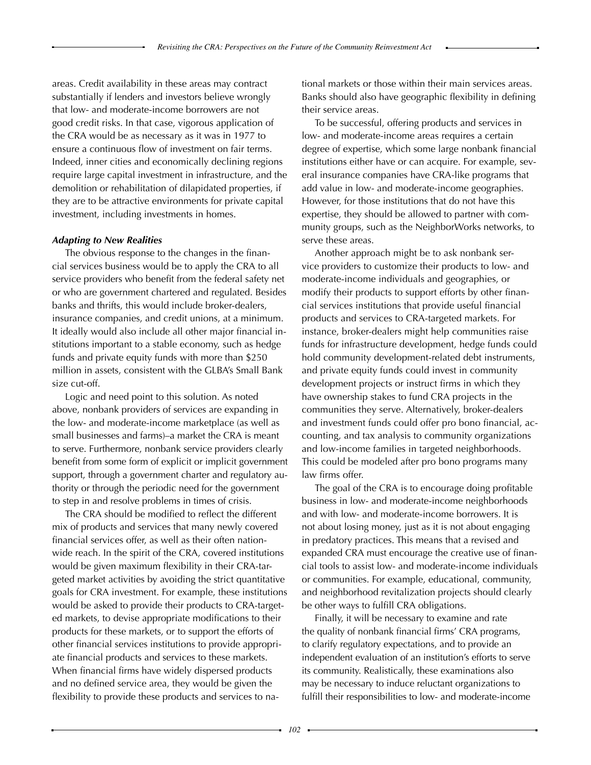areas. Credit availability in these areas may contract substantially if lenders and investors believe wrongly that low- and moderate-income borrowers are not good credit risks. In that case, vigorous application of the CRA would be as necessary as it was in 1977 to ensure a continuous flow of investment on fair terms. Indeed, inner cities and economically declining regions require large capital investment in infrastructure, and the demolition or rehabilitation of dilapidated properties, if they are to be attractive environments for private capital investment, including investments in homes.

### *Adapting to New Realities*

The obvious response to the changes in the financial services business would be to apply the CRA to all service providers who benefit from the federal safety net or who are government chartered and regulated. Besides banks and thrifts, this would include broker-dealers, insurance companies, and credit unions, at a minimum. It ideally would also include all other major financial institutions important to a stable economy, such as hedge funds and private equity funds with more than \$250 million in assets, consistent with the GLBA's Small Bank size cut-off.

Logic and need point to this solution. As noted above, nonbank providers of services are expanding in the low- and moderate-income marketplace (as well as small businesses and farms)–a market the CRA is meant to serve. Furthermore, nonbank service providers clearly benefit from some form of explicit or implicit government support, through a government charter and regulatory authority or through the periodic need for the government to step in and resolve problems in times of crisis.

The CRA should be modified to reflect the different mix of products and services that many newly covered financial services offer, as well as their often nationwide reach. In the spirit of the CRA, covered institutions would be given maximum flexibility in their CRA-targeted market activities by avoiding the strict quantitative goals for CRA investment. For example, these institutions would be asked to provide their products to CRA-targeted markets, to devise appropriate modifications to their products for these markets, or to support the efforts of other financial services institutions to provide appropriate financial products and services to these markets. When financial firms have widely dispersed products and no defined service area, they would be given the flexibility to provide these products and services to national markets or those within their main services areas. Banks should also have geographic flexibility in defining their service areas.

To be successful, offering products and services in low- and moderate-income areas requires a certain degree of expertise, which some large nonbank financial institutions either have or can acquire. For example, several insurance companies have CRA-like programs that add value in low- and moderate-income geographies. However, for those institutions that do not have this expertise, they should be allowed to partner with community groups, such as the NeighborWorks networks, to serve these areas.

Another approach might be to ask nonbank service providers to customize their products to low- and moderate-income individuals and geographies, or modify their products to support efforts by other financial services institutions that provide useful financial products and services to CRA-targeted markets. For instance, broker-dealers might help communities raise funds for infrastructure development, hedge funds could hold community development-related debt instruments, and private equity funds could invest in community development projects or instruct firms in which they have ownership stakes to fund CRA projects in the communities they serve. Alternatively, broker-dealers and investment funds could offer pro bono financial, accounting, and tax analysis to community organizations and low-income families in targeted neighborhoods. This could be modeled after pro bono programs many law firms offer.

The goal of the CRA is to encourage doing profitable business in low- and moderate-income neighborhoods and with low- and moderate-income borrowers. It is not about losing money, just as it is not about engaging in predatory practices. This means that a revised and expanded CRA must encourage the creative use of financial tools to assist low- and moderate-income individuals or communities. For example, educational, community, and neighborhood revitalization projects should clearly be other ways to fulfill CRA obligations.

Finally, it will be necessary to examine and rate the quality of nonbank financial firms' CRA programs, to clarify regulatory expectations, and to provide an independent evaluation of an institution's efforts to serve its community. Realistically, these examinations also may be necessary to induce reluctant organizations to fulfill their responsibilities to low- and moderate-income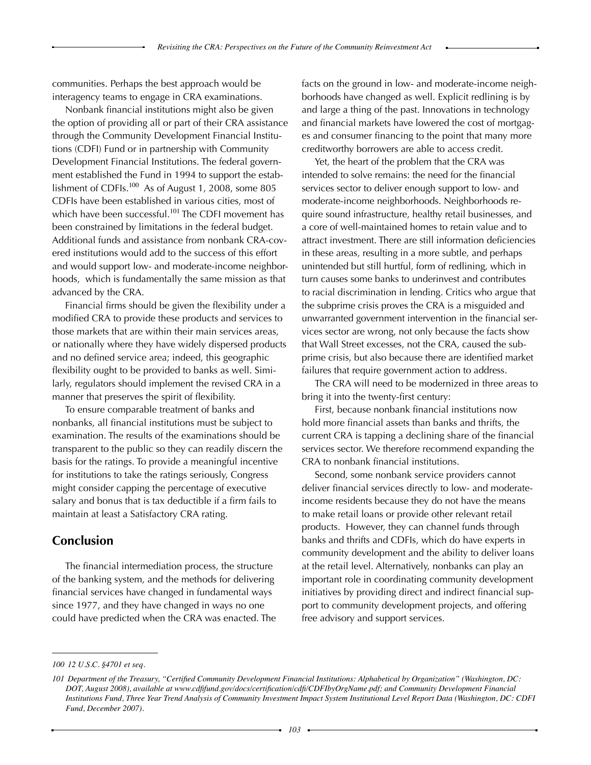communities. Perhaps the best approach would be interagency teams to engage in CRA examinations.

Nonbank financial institutions might also be given the option of providing all or part of their CRA assistance through the Community Development Financial Institutions (CDFI) Fund or in partnership with Community Development Financial Institutions. The federal government established the Fund in 1994 to support the establishment of CDFIs. $100$  As of August 1, 2008, some 805 CDFIs have been established in various cities, most of which have been successful.<sup>101</sup> The CDFI movement has been constrained by limitations in the federal budget. Additional funds and assistance from nonbank CRA-covered institutions would add to the success of this effort and would support low- and moderate-income neighborhoods, which is fundamentally the same mission as that advanced by the CRA.

Financial firms should be given the flexibility under a modified CRA to provide these products and services to those markets that are within their main services areas, or nationally where they have widely dispersed products and no defined service area; indeed, this geographic flexibility ought to be provided to banks as well. Similarly, regulators should implement the revised CRA in a manner that preserves the spirit of flexibility.

To ensure comparable treatment of banks and nonbanks, all financial institutions must be subject to examination. The results of the examinations should be transparent to the public so they can readily discern the basis for the ratings. To provide a meaningful incentive for institutions to take the ratings seriously, Congress might consider capping the percentage of executive salary and bonus that is tax deductible if a firm fails to maintain at least a Satisfactory CRA rating.

## **Conclusion**

The financial intermediation process, the structure of the banking system, and the methods for delivering financial services have changed in fundamental ways since 1977, and they have changed in ways no one could have predicted when the CRA was enacted. The facts on the ground in low- and moderate-income neighborhoods have changed as well. Explicit redlining is by and large a thing of the past. Innovations in technology and financial markets have lowered the cost of mortgages and consumer financing to the point that many more creditworthy borrowers are able to access credit.

Yet, the heart of the problem that the CRA was intended to solve remains: the need for the financial services sector to deliver enough support to low- and moderate-income neighborhoods. Neighborhoods require sound infrastructure, healthy retail businesses, and a core of well-maintained homes to retain value and to attract investment. There are still information deficiencies in these areas, resulting in a more subtle, and perhaps unintended but still hurtful, form of redlining, which in turn causes some banks to underinvest and contributes to racial discrimination in lending. Critics who argue that the subprime crisis proves the CRA is a misguided and unwarranted government intervention in the financial services sector are wrong, not only because the facts show that Wall Street excesses, not the CRA, caused the subprime crisis, but also because there are identified market failures that require government action to address.

The CRA will need to be modernized in three areas to bring it into the twenty-first century:

First, because nonbank financial institutions now hold more financial assets than banks and thrifts, the current CRA is tapping a declining share of the financial services sector. We therefore recommend expanding the CRA to nonbank financial institutions.

Second, some nonbank service providers cannot deliver financial services directly to low- and moderateincome residents because they do not have the means to make retail loans or provide other relevant retail products. However, they can channel funds through banks and thrifts and CDFIs, which do have experts in community development and the ability to deliver loans at the retail level. Alternatively, nonbanks can play an important role in coordinating community development initiatives by providing direct and indirect financial support to community development projects, and offering free advisory and support services.

*<sup>100 12</sup> U.S.C. §4701 et seq.*

<sup>101</sup> Department of the Treasury, "Certified Community Development Financial Institutions: Alphabetical by Organization" (Washington, DC: *DOT, August 2008), available at www.cdfifund.gov/docs/certification/cdfi/CDFIbyOrgName.pdf; and Community Development Financial* Institutions Fund, Three Year Trend Analysis of Community Investment Impact System Institutional Level Report Data (Washington, DC: CDFI *Fund, December 2007).*